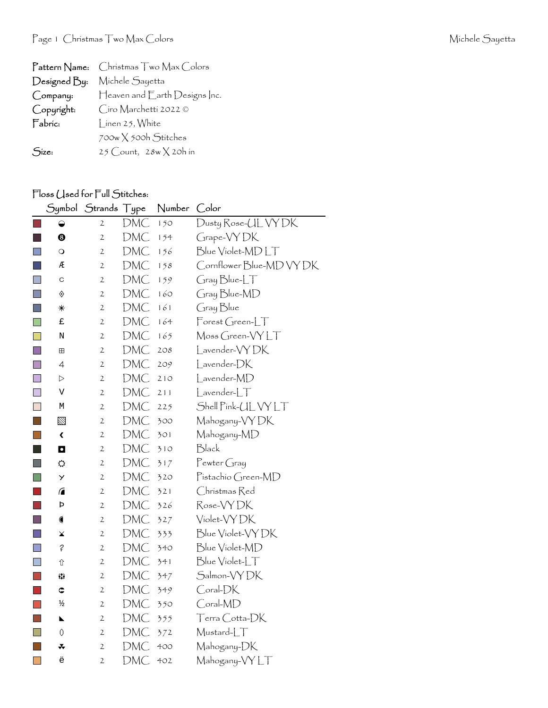| $\mathsf{Pattern\,}$ Name: | Christmas Two Max Colors      |
|----------------------------|-------------------------------|
| Designed By:               | Michele Sayetta               |
| Company:                   | Heaven and Earth Designs Inc. |
| Copyright:                 | Ciro Marchetti 2022 ©         |
| Fabric:                    | Linen 25, White               |
|                            | 700w X 500h Stitches          |
| Size:                      | 25 Count, $28w \times 20h$ in |

## Floss (Jsed for Full Stitches:

|                                                                                                                      | Symbol               | <b>Strands</b> | Type | Number | Color                    |
|----------------------------------------------------------------------------------------------------------------------|----------------------|----------------|------|--------|--------------------------|
|                                                                                                                      | ◒                    | 2              | DMC  | 150    | Dusty Rose-UL VY DK      |
|                                                                                                                      | $\ddot{\text{o}}$    | $\mathbf{2}$   | DMC  | 154    | Grape-VYDK               |
| $\Box$                                                                                                               | $\circ$              | 2              | DMC  | 156    | Blue Violet-MDLT         |
|                                                                                                                      | Æ                    | $\mathfrak{2}$ | DMC  | 158    | Cornflower Blue-MD VY DK |
|                                                                                                                      | C                    | $\mathfrak{2}$ | DMC  | 159    | GraphedCT                |
| $\Box$                                                                                                               | ♦                    | $\mathfrak{2}$ | DMC  | 160    | Gray Blue-MD             |
|                                                                                                                      | ⋇                    | $\mathfrak{2}$ | DMC  | 161    | Gray Blue                |
| I.                                                                                                                   | £                    | 2              | DMC  | 164    | Forest Green-LT          |
|                                                                                                                      | Ν                    | $\mathfrak{2}$ | DMC  | 165    | Moss Green-VYLT          |
| T.                                                                                                                   | 田                    | 2              | DMC  | 208    | Lavender-VYDK            |
|                                                                                                                      | 4                    | $\mathfrak{2}$ | DMC  | 209    | Lavender-DK              |
| n.                                                                                                                   | ▷                    | 2              | DMC  | 210    | Lavender-MD              |
| $\Box$                                                                                                               | V                    | 2              | DMC  | 211    | $L$ avender- $LT$        |
|                                                                                                                      | М                    | 2              | DMC  | 225    | Shell Pink-UL VY LT      |
| <b>Contract Contract Contract Contract Contract Contract Contract Contract Contract Contract Contract Contract C</b> | ⊠                    | 2              | DMC  | 300    | Mahogany-VYDK            |
|                                                                                                                      | $\blacktriangleleft$ | $\mathfrak{2}$ | DMC  | 301    | Mahogany-MD              |
| ×.                                                                                                                   | O                    | $\mathbf 2$    | DMC  | 310    | Black                    |
|                                                                                                                      | ⇔                    | 2              | DMC  | 317    | Pewter Gray              |
| П                                                                                                                    | У                    | 2              | DMC  | 320    | Pistachio Green-MD       |
|                                                                                                                      | ⋒                    | $\mathfrak{2}$ | DMC  | 321    | Christmas Red            |
|                                                                                                                      | Þ                    | $\mathfrak{2}$ | DMC  | 326    | Rose-VYDK                |
| l.                                                                                                                   | €                    | 2              | DMC  | 327    | Violet-VYDK              |
|                                                                                                                      | ×                    | $\mathfrak{2}$ | DMC  | 333    | Blue Violet-VY DK        |
| <b>College</b>                                                                                                       | ?                    | 2              | DMC  | 340    | Blue Violet-MD           |
|                                                                                                                      | ⇧                    | 2              | DMC  | 341    | Blue Violet-LT           |
|                                                                                                                      | 83                   | 2              | DMC  | 347    | Salmon-VYDK              |
|                                                                                                                      | ¢                    | $\mathbf{2}$   | DMC  | 349    | Coral-DK                 |
|                                                                                                                      | ½                    | 2              | DMC  | 350    | Coral-MD                 |
|                                                                                                                      | N                    | 2              | DMC  | 355    | Terra Cotta-DK           |
|                                                                                                                      | 0                    | 2              | DMC  | 372    | Mustard-LT               |
|                                                                                                                      | *                    | $\mathfrak{2}$ | DMC  | 400    | Mahogany-DK              |
|                                                                                                                      | ë                    | 2              | DMC  | 402    | Mahogany-VYLT            |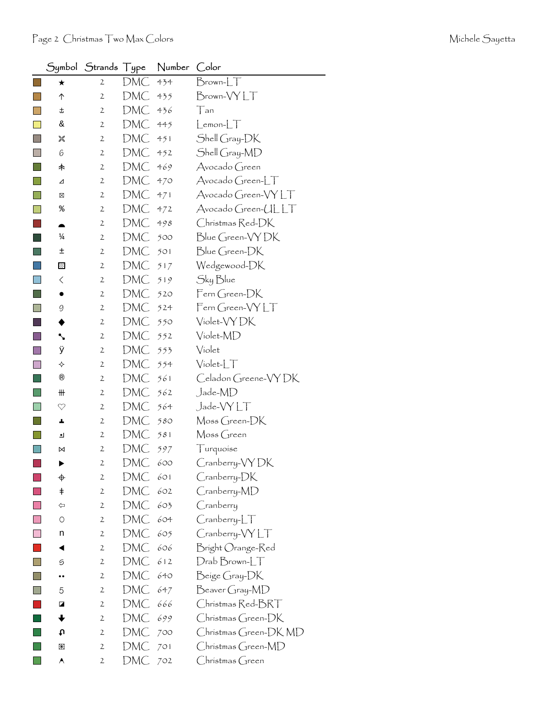|                             |                                | Symbol Strands Type |     | Number | Color                  |
|-----------------------------|--------------------------------|---------------------|-----|--------|------------------------|
|                             | $\star$                        | $\mathbf{2}$        | DMC | 434    | $Brown$ - $LT$         |
| l al                        | ↑                              | $\mathbf{2}$        | DMC | 435    | Brown-VYLT             |
| $\mathbf{I}$                | t                              | $\mathbf{2}$        | DMC | 436    | Tan                    |
|                             | &                              | $\mathbf{2}$        | DMC | 445    | $L$ emon- $LT$         |
| $\mathcal{L}_{\mathcal{A}}$ | 饕                              | $\mathbf{2}$        | DMC | 451    | Shell Gray-DK          |
|                             | 6                              | $\mathbf{2}$        | DMC | 452    | Shell Gray-MD          |
| $\mathbb{R}^{\mathbb{Z}}$   | 木                              | $\mathbf{2}$        | DMC | 469    | Avocado Green          |
| $\mathbb{R}^n$              | ⊿                              | $\mathbf{2}$        | DMC | 470    | Avocado Green-LT       |
|                             | ⊠                              | $\mathbf{2}$        | DMC | 471    | Avocado Green-VYLT     |
|                             | ್ಠಿ                            | $\mathbf{2}$        | DMC | 472    | Avocado Green-ULLT     |
|                             | ▲                              | $\mathbf{2}$        | DMC | 498    | Christmas Red-DK       |
|                             | $\frac{1}{4}$                  | $\mathbf{2}$        | DMC | 500    | Blue Green-VY DK       |
|                             | 土                              | $\mathbf{2}$        | DMC | 501    | Blue Green-DK          |
|                             | ⊠                              | $\mathbf{2}$        | DMC | 517    | Wedgewood-DK           |
| $\Box$                      | $\langle$                      | $\mathbf{2}$        | DMC | 519    | Sky Blue               |
| ×.                          |                                | $\mathbf{2}$        | DMC | 520    | Fern Green-DK          |
|                             | 9                              | $\mathbf{2}$        | DMC | 524    | Fern Green-VYLT        |
|                             |                                | $\mathbf{2}$        | DMC | 550    | Violet-VY DK           |
|                             | ╲                              | $\mathbf{2}$        | DMC | 552    | Violet-MD              |
|                             | ÿ                              | $\mathbf{2}$        | DMC | 553    | Violet                 |
|                             | ✧                              | $\mathbf 2$         | DMC | 554    | $Violet-T$             |
|                             | $^{\circledR}$                 | $\mathbf{2}$        | DMC | 561    | Celadon Greene-VYDK    |
|                             | $\mathop{\text{III}}\nolimits$ | $\mathbf{2}$        | DMC | 562    | Jade-MD                |
|                             | $\heartsuit$                   | $\mathbf{2}$        | DMC | 564    | Jade-VYLT              |
|                             | ÷.                             | $\mathbf{2}$        | DMC | 580    | Moss Green-DK          |
|                             | ┛                              | $\mathbf{2}$        | DMC | 581    | Moss Green             |
|                             | ⋈                              | $\mathbf 2$         | DMC | 597    | Turquoise              |
|                             |                                | $\mathbf{2}$        | DMC | 600    | Cranberry-VYDK         |
|                             | ♦                              | $\mathbf 2$         | DMC | 601    | Cranberry-DK           |
|                             | $\ddagger$                     | 2                   | DMC | 602    | Cranberry-MD           |
|                             | ⇦                              | $\mathbf{2}$        | DMC | 603    | Cranberry              |
|                             | $\circ$                        | $\mathbf{2}$        | DMC | 604    | $C$ ranberry- $LT$     |
|                             | n                              | $\mathbf{2}$        | DMC | 605    | Cranberry-VYLT         |
|                             | ◀                              | $\mathbf{2}$        | DMC | 606    | Bright Orange-Red      |
|                             | 5                              | $\mathbf{2}$        | DMC | 612    | $D$ rab $B$ rown- $LT$ |
|                             |                                | $\mathbf{2}$        | DMC | 640    | Beige Gray-DK          |
|                             | 5                              | $\mathbf{2}$        | DMC | 647    | Beaver Gray-MD         |
|                             | ◪                              | $\mathbf{2}$        | DMC | 666    | Christmas Red-BRT      |
|                             |                                | $\mathbf{2}$        | DMC | 699    | Christmas Green-DK     |
|                             | tυ                             | $\mathbf{2}$        | DMC | 700    | Christmas Green-DK MD  |
|                             | 圏                              | $\mathbf{2}$        | DMC | 701    | Christmas Green-MD     |
|                             | A                              | $\mathbf{2}$        | DMC | 702    | $Chr$ ístmas $G$ reen  |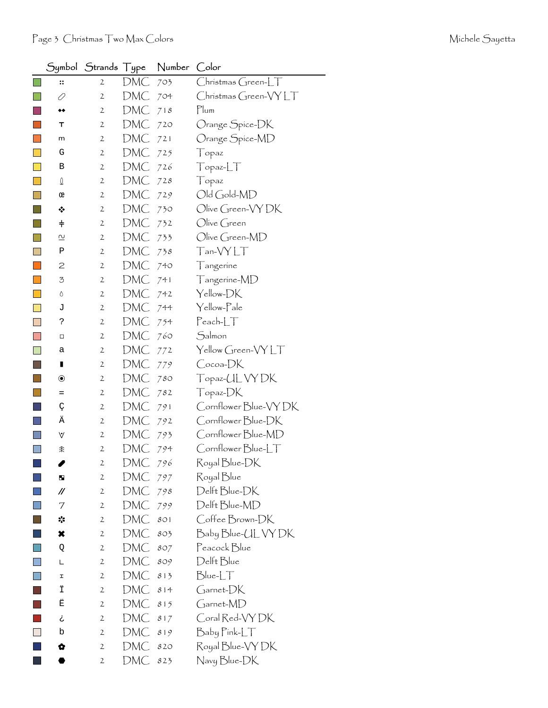| Symbol                   | Strands Type   |            | Number | Color                 |
|--------------------------|----------------|------------|--------|-----------------------|
| $\vdots$                 | 2              | DMC        | 703    | $Christmas Green-LT$  |
| 0                        | $\mathbf 2$    | DMC        | 704    | Christmas Green-VYLT  |
| ◆◆                       | $\mathbf{2}$   | DMC        | 718    | Plum                  |
| т                        | $\mathbf{2}$   | DMC        | 720    | Orange Spice-DK       |
| m                        | $\mathbf{2}$   | DMC        | 721    | Orange Spice-MD       |
| G                        | 2              | DMC        | 725    | Topaz                 |
| В                        | $\mathbf{2}$   | DMC        | 726    | TopazLT               |
| $\Omega$                 | 2              | DMC        | 728    | Topaz                 |
| œ                        | $\mathbf{2}$   | DMC        | 729    | Old Gold-MD           |
| ❖                        | 2              | DMC        | 730    | Olive Green-VY DK     |
| $\ddagger$               | $\mathbf{2}$   | DMC        | 732    | Olive Green           |
| $\overline{\mathcal{C}}$ | $\mathbf{2}$   | DMC        | 733    | Olive Green-MD        |
| Ρ                        | $\mathbf{2}$   | DMC        | 738    | Tan-VYLT              |
| 2                        | 2              | DMC        | 740    | Tangerine             |
| 3                        | $\mathbf{2}$   | DMC        | 741    | Tangerine-MD          |
| ٥                        | 2              | DMC        | 742    | Yellow-DK             |
| J                        | $\mathbf{2}$   | DMC        | 744    | Yellow-Pale           |
| ċ.                       | $\mathbf{2}$   | DMC        | 754    | $Pearb-LT$            |
| □                        | 2              | DMC        | 760    | Salmon                |
| а                        | $\mathbf{2}$   | DMC        | 772    | Yellow Green-VYLT     |
| П                        | $\mathbf{2}$   | DMC        | 779    | Cocoa-DK              |
| $\circledbullet$         | 2              | DMC        | 780    | Topaz-UL VY DK        |
| $=$                      | $\mathbf{2}$   | DMC        | 782    | Topaz-DK              |
| Ç                        | $\mathbf{2}$   | DMC        | 791    | Cornflower Blue-VY DK |
| Ä                        | 2              | DMC        | 792    | Cornflower Blue-DK    |
| V                        | $\mathbf{2}$   | DMC        | 793    | Cornflower Blue-MD    |
| 余                        | $\mathbf{2}$   | DMC        | 794    | Cornflower Blue-LT    |
|                          | $\mathfrak{2}$ | DMC        | 796    | Royal Blue-DK         |
| ш                        | $\mathbf{2}$   | <b>DMC</b> | 797    | Royal Blue            |
| //                       | $\overline{2}$ | DMC        | 798    | Delft Blue-DK         |
| 7                        | $\mathbf{2}$   | DMC        | 799    | Delft Blue-MD         |
| ☆                        | $\mathbf{2}$   | DMC        | 801    | Coffee Brown-DK       |
| ×                        | $\mathbf{2}$   | DMC        | 803    | Baby Blue-UL VY DK    |
| Q                        | $\mathbf{2}$   | DMC        | 807    | Peacock Blue          |
| L                        | $\mathbf{2}$   | DMC        | 809    | Delft Blue            |
| I                        | $\mathbf{2}$   | DMC        | 813    | $Blue-LT$             |
| Ϊ                        | $\mathbf{2}$   | DMC        | 814    | Garnet-DK             |
| Ë                        | $\mathbf{2}$   | DMC        | 815    | Garnet-MD             |
| خ                        | $\mathbf{2}$   | DMC        | 817    | Coral Red-VY DK       |
| b                        | $\mathbf{2}$   | DMC        | 819    | Baby Pink-LT          |
| ✿                        | $\mathbf{2}$   | DMC        | 820    | Royal Blue-VY DK      |
|                          | 2              | DMC        | 823    | Navy Blue-DK          |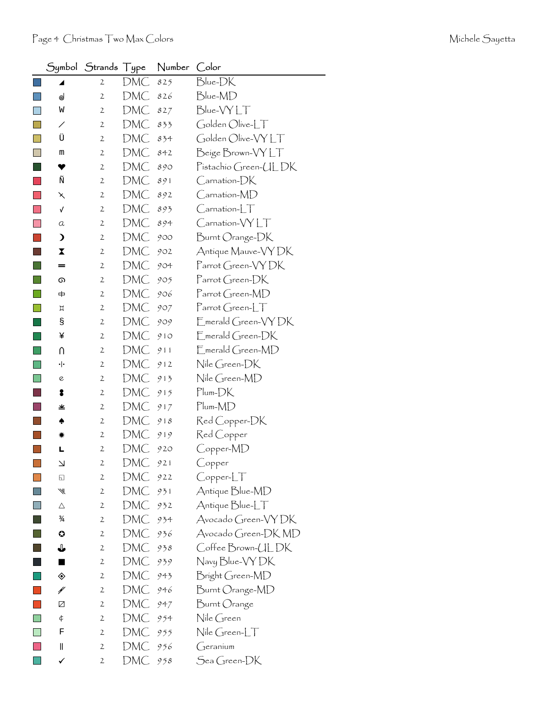|                             | Symbol                   | Strands Type   |     | Number | Color                                         |
|-----------------------------|--------------------------|----------------|-----|--------|-----------------------------------------------|
|                             | ◢                        | $\mathbf{2}$   | DMC | 825    | Blue-DK                                       |
|                             | ⊚                        | $\mathfrak{2}$ | DMC | 826    | Blue-MD                                       |
|                             | W                        | $\mathbf{2}$   | DMC | 827    | Blue-VYLT                                     |
|                             | ╱                        | 2              | DMC | 833    | Golden Olive-LT                               |
|                             | Ü                        | $\mathbf{2}$   | DMC | 834    | Golden Olive-VYLT                             |
|                             | m                        | $\mathbf{2}$   | DMC | 842    | Beige Brown-VYLT                              |
|                             | ♥                        | $\mathbf{2}$   | DMC | 890    | Pistachio Green-ULDK                          |
|                             | Ñ                        | $\mathbf{2}$   | DMC | 891    | $\mathsf{C}$ arnation- $\mathsf{D}\mathsf{K}$ |
|                             | ↖                        | $\mathbf{2}$   | DMC | 892    | $\mathsf{C}$ arnation- $\mathsf{MD}$          |
|                             | √                        | 2              | DMC | 893    | $C$ arnation- $LT$                            |
|                             | a                        | $\mathbf{2}$   | DMC | 894    | Carnation-VYLT                                |
|                             | $\mathbf{\mathbf{z}}$    | $\mathbf{2}$   | DMC | 900    | Burnt Orange-DK                               |
|                             | X                        | 2              | DMC | 902    | Antique Mauve-VY DK                           |
|                             | =                        | $\mathbf{2}$   | DMC | 904    | Parrot Green-VYDK                             |
|                             | ை                        | $\mathbf{2}$   | DMC | 905    | $\Gamma$ arrot Green- $DK$                    |
|                             |                          | 2              | DMC | 906    | Parrot Green-MD                               |
|                             | Д                        | $\mathbf{2}$   | DMC | 907    | $\Gamma$ arrot Green-L $\top$                 |
|                             | g                        | $\mathbf{2}$   | DMC | 909    | Emerald Green-VYDK                            |
|                             | ¥                        | 2              | DMC | 910    | $E$ merald Green- $DK$                        |
|                             | N                        | $\mathbf{2}$   | DMC | 911    | $E$ merald Green-MD                           |
|                             | ٠ŀ                       | $\mathbf{2}$   | DMC | 912    | Nile Green-DK                                 |
|                             | e                        | $\mathbf{2}$   | DMC | 913    | Nile Green-MD                                 |
|                             | 8                        | 2              | DMC | 915    | $Plum-DK$                                     |
|                             | 坐                        | 2              | DMC | 917    | $Plum-MD$                                     |
|                             |                          | $\mathbf{2}$   | DMC | 918    | Red Copper-DK                                 |
|                             |                          | $\mathbf{2}$   | DMC | 919    | Red Copper                                    |
|                             |                          | $\mathbf 2$    | DMC | 920    | Copper-MD                                     |
| $\mathcal{L}_{\mathcal{A}}$ | $\overline{\phantom{0}}$ | $\overline{c}$ | DMC | 921    | Copper                                        |
|                             | ⊡                        | $\mathbf{2}$   | DMC | 922    | Copper-LT                                     |
|                             | ₩                        | $\mathbf{2}$   | DMC | 931    | Antique Blue-MD                               |
|                             | Δ                        | $\mathbf{2}$   | DMC | 932    | Antique Blue-LT                               |
|                             | $\frac{3}{4}$            | $\mathbf{2}$   | DMC | 934    | Avocado Green-VYDK                            |
|                             | O                        | $\mathbf{2}$   | DMC | 936    | Avocado Green-DK MD                           |
|                             | ⇓                        | $\mathbf{2}$   | DMC | 938    | Coffee Brown-ULDK                             |
|                             |                          | $\mathbf{2}$   | DMC | 939    | Navy Blue-VY DK                               |
|                             | ◈                        | $\mathbf{2}$   | DMC | 943    | Bright Green-MD                               |
|                             | ¥                        | 2              | DMC | 946    | Burnt Orange-MD                               |
|                             | Ø                        | $\mathbf{2}$   | DMC | 947    | Burnt Orange                                  |
|                             | ¢                        | $\mathbf{2}$   | DMC | 954    | Nile Green                                    |
|                             | F                        | 2              | DMC | 955    | Nile Green-LT                                 |
|                             | $\parallel$              | $\mathbf{2}$   | DMC | 956    | $G$ eranium                                   |
|                             | ✓                        | $\mathbf{2}$   | DMC | 958    | Sea Green-DK                                  |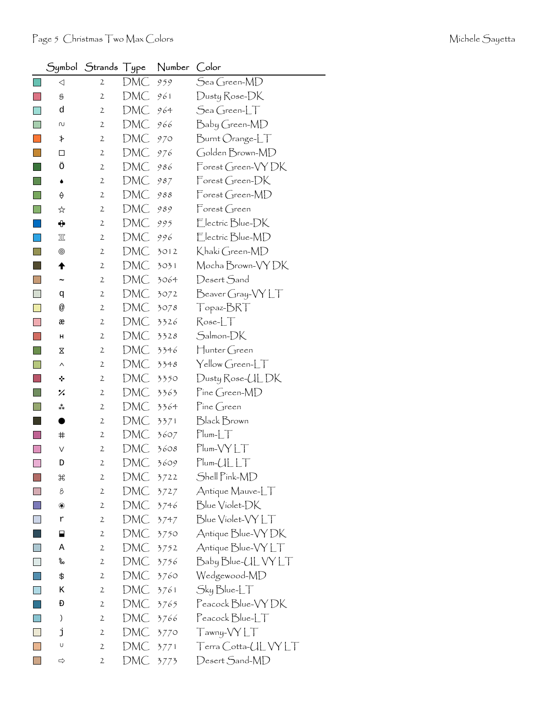|                           | Symbol                | Strands Type   |     | Number | Color                                  |
|---------------------------|-----------------------|----------------|-----|--------|----------------------------------------|
|                           | $\triangleleft$       | 2              | DMC | 959    | Sea Green-MD                           |
|                           | S                     | $\mathbf{2}$   | DMC | 961    | Dusty Rose-DK                          |
|                           | d                     | $\mathbf{2}$   | DMC | 964    | $\mathcal{S}$ ea Green- $\mathcal{LT}$ |
|                           | N                     | $\mathbf{2}$   | DMC | 966    | Baby Green-MD                          |
|                           | ≯                     | $\mathbf{2}$   | DMC | 970    | Burnt Orange-LT                        |
|                           | □                     | $\mathbf{2}$   | DMC | 976    | Golden Brown-MD                        |
|                           | Ö                     | $\mathbf{2}$   | DMC | 986    | Forest Green-VYDK                      |
|                           | ۰                     | $\mathbf{2}$   | DMC | 987    | $\mathsf{Forest}$ Green- $\mathsf{DK}$ |
|                           | ♦                     | $\mathbf{2}$   | DMC | 988    | Forest Green-MD                        |
|                           | ☆                     | $\mathbf{2}$   | DMC | 989    | Forest Green                           |
|                           | ⊕                     | $\mathbf{2}$   | DMC | 995    | Electric Blue-DK                       |
|                           | 冚                     | $\mathbf{2}$   | DMC | 996    | Electric Blue-MD                       |
|                           | ◉                     | 2              | DMC | 3012   | Khakí Green-MD                         |
|                           | ♠                     | $\mathbf{2}$   | DMC | 3031   | Mocha Brown-VY DK                      |
|                           | $\tilde{\phantom{a}}$ | $\mathbf{2}$   | DMC | 3064   | Desert Sand                            |
| ×.                        | đ                     | 2              | DMC | 3072   | Beaver Gray-VY LT                      |
|                           | @                     | $\mathbf{2}$   | DMC | 3078   | Topaz-BRT                              |
|                           | æ                     | $\mathbf{2}$   | DMC | 3326   | $Rose-LT$                              |
|                           | н                     | 2              | DMC | 3328   | Salmon-DK                              |
|                           | Χ                     | $\mathbf{2}$   | DMC | 3346   | Hunter Green                           |
|                           | Λ                     | $\mathbf{2}$   | DMC | 3348   | Yellow Green-LT                        |
|                           | ÷                     | 2              | DMC | 3350   | Dusty Rose-UL DK                       |
|                           | ٪                     | $\mathbf{2}$   | DMC | 3363   | Pine Green-MD                          |
|                           | ∗*                    | 2              | DMC | 3364   | $\mathsf{P}$ ine Green                 |
|                           |                       | $\mathbf{2}$   | DMC | 3371   | <b>Black Brown</b>                     |
|                           | #                     | $\mathbf{2}$   | DMC | 3607   | $Plum-LT$                              |
|                           | ٧                     | $\mathbf 2$    | DMC | 3608   | $Plum- VYLT$                           |
| $\overline{\mathbb{R}^n}$ | D                     | $\mathbf{2}$   | DMC | 3609   | $Plum-CLLT$                            |
|                           | H                     | $\mathbf{2}$   | DMC | 3722   | Shell Pink-MD                          |
|                           | 8                     | $\overline{2}$ | DMC | 3727   | Antique Mauve-LT                       |
|                           | ❀                     | 2              | DMC | 3746   | Blue Violet-DK                         |
|                           | r                     | $\mathbf{2}$   | DMC | 3747   | Blue Violet-VYLT                       |
|                           | ⊟                     | 2              | DMC | 3750   | Antique Blue-VY DK                     |
|                           | Α                     | 2              | DMC | 3752   | Antique Blue-VYLT                      |
|                           | %                     | 2              | DMC | 3756   | Baby Blue-UL VY LT                     |
|                           | \$                    | 2              | DMC | 3760   | Wedgewood-MD                           |
|                           | Κ                     | $\mathbf{2}$   | DMC | 3761   | Sky Blue-LT                            |
|                           | Đ                     | 2              | DMC | 3765   | Peacock Blue-VY DK                     |
|                           | )                     | $\mathbf{2}$   | DMC | 3766   | $\sf Peacock$ $\sf Blue\_\sqcup\top$   |
|                           | j                     | 2              | DMC | 3770   | Tawny-VYLT                             |
|                           | U                     | $\mathbf{2}$   | DMC | 3771   | Terra Cotta-UL VY LT                   |
|                           | ⇨                     | $\mathfrak{2}$ | DMC | 3773   | Desert Sand-MD                         |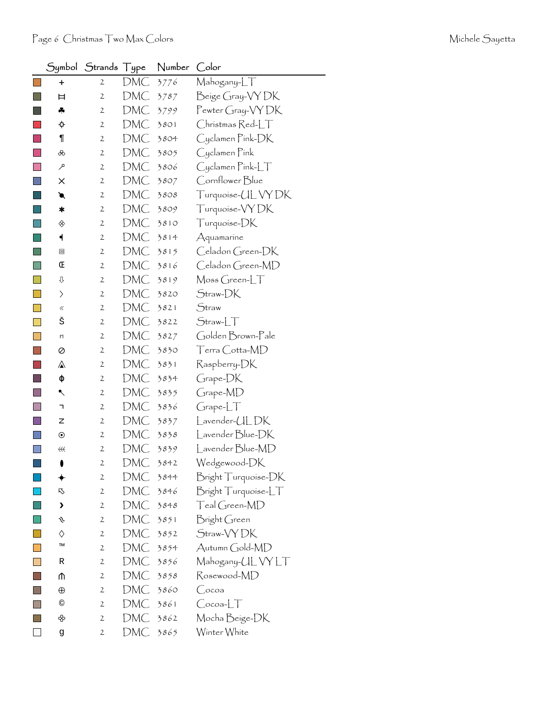|        |                        | Symbol Strands Type |     | Number | Color                       |
|--------|------------------------|---------------------|-----|--------|-----------------------------|
|        | $\ddagger$             | $\mathbf{2}$        | DMC | 3776   | Mahogany-LT                 |
|        | Ħ                      | $\mathfrak{2}$      | DMC | 3787   | Beige Gray-VYDK             |
|        | ♣                      | $\mathfrak{2}$      | DMC | 3799   | Pewter Gray-VY DK           |
|        | ¢                      | $\mathbf{2}$        | DMC | 3801   | $Ch$ rístmas $Red$ - $\Box$ |
|        | $\P$                   | $\mathbf{2}$        | DMC | 3804   | Cyclamen Pink-DK            |
|        | ൿ                      | 2                   | DMC | 3805   | Cyclamen Pink               |
|        | مر                     | $\mathbf{2}$        | DMC | 3806   | $C$ yclamen Pink-L $\top$   |
| I.     | ×                      | $\mathbf{2}$        | DMC | 3807   | Cornflower Blue             |
|        | €                      | 2                   | DMC | 3808   | Turquoise-UL VY DK          |
|        | ∗                      | $\mathbf{2}$        | DMC | 3809   | Turquoise-VYDK              |
|        | ◈                      | $\mathbf{2}$        | DMC | 3810   | Turquoise-DK                |
|        | ┥                      | 2                   | DMC | 3814   | Aquamarine                  |
|        | ▣                      | $\mathbf{2}$        | DMC | 3815   | Celadon Green-DK            |
| I.     | Œ                      | 2                   | DMC | 3816   | Celadon Green-MD            |
| n      | ⇩                      | $\mathbf{2}$        | DMC | 3819   | $\mathsf{M}$ oss Green-LT   |
|        | $\left. \right\rangle$ | 2                   | DMC | 3820   | Straw-DK                    |
|        | «                      | 2                   | DMC | 3821   | Straw                       |
| $\Box$ | š                      | $\mathbf{2}$        | DMC | 3822   | $Straw-LT$                  |
| I.     | n                      | 2                   | DMC | 3827   | Golden Brown-Pale           |
|        | Ø                      | $\mathfrak{2}$      | DMC | 3830   | Terra Cotta-MD              |
|        | ⚠                      | 2                   | DMC | 3831   | Raspberry-DK                |
| ×.     | ф                      | 2                   | DMC | 3834   | Grape-DK                    |
|        | ↖                      | $\mathbf{2}$        | DMC | 3835   | Grape-MD                    |
|        | ٦                      | $\mathbf{2}$        | DMC | 3836   | GrapherLT                   |
|        | z                      | 2                   | DMC | 3837   | Lavender-ULDK               |
|        | $\odot$                | $\mathbf{2}$        | DMC | 3838   | Lavender Blue-DK            |
|        | $\leftrightarrow$      | $\mathfrak{2}$      | DMC | 3839   | Lavender Blue-MD            |
|        |                        | 2                   | DMC | 3842   | Wedgewood-DK                |
|        |                        | $\mathbf{2}$        | DMC | 3844   | Bright Turquoise-DK         |
|        | <b>下</b>               | $\mathfrak{2}$      | DMC | 3846   | Bright Turquoise-LT         |
|        | >                      | $\mathfrak{2}$      | DMC | 3848   | Teal Green-MD               |
|        | Ŋ                      | $\mathbf{2}$        | DMC | 3851   | Bright Green                |
|        | ♦                      | $\mathfrak{2}$      | DMC | 3852   | Straw-VYDK                  |
|        | TM                     | $\mathbf{2}$        | DMC | 3854   | Autumn Gold-MD              |
|        | R                      | $\mathbf{2}$        | DMC | 3856   | Mahogany-UL VY LT           |
|        | ⋔                      | $\mathbf{2}$        | DMC | 3858   | Rosewood-MD                 |
|        | $\oplus$               | $\mathbf{2}$        | DMC | 3860   | Сосоа                       |
|        | $^{\circ}$             | $\mathbf{2}$        | DMC | 3861   | $Cocoa-LT$                  |
|        | ♧                      | 2                   | DMC | 3862   | Mocha Beige-DK              |
|        | g                      | 2                   | DMC | 3865   | Winter White                |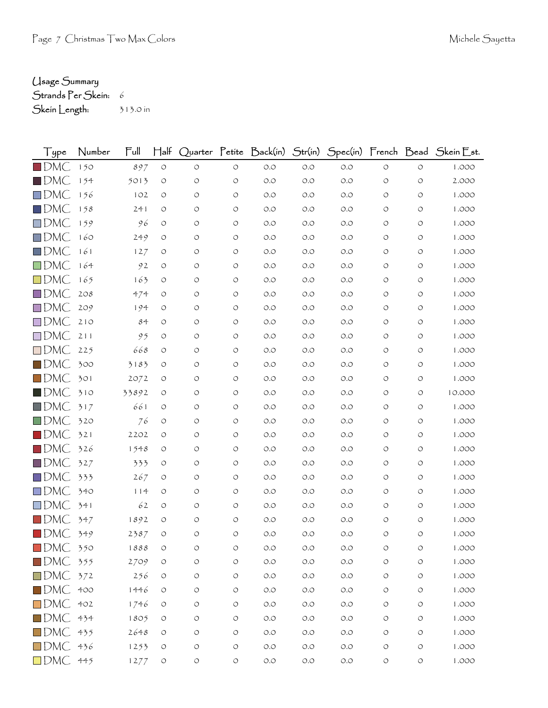## Usage Summary

Strands Per Skein: 6

Skein Length: 313.0 in

| l ype                    | Number | ∏ull  | $\mathsf{H}^{\mathsf{alt}}$ | Quarter            | $\Gamma$ etite     | $\mathsf{Back}(\mathsf{in})$ | Str(in) | Spec(in) | French Dead        |                    | $\bigcup$ kein $\bigcup$ st. |
|--------------------------|--------|-------|-----------------------------|--------------------|--------------------|------------------------------|---------|----------|--------------------|--------------------|------------------------------|
| $\square$ DMC            | 150    | 897   | $\circ$                     | $\circlearrowleft$ | $\circ$            | O.O                          | $O.O$   | O.O      | $\circ$            | $\circ$            | 1.000                        |
| $\blacksquare$ DMC       | 154    | 5013  | $\circ$                     | O                  | $\circ$            | O.O                          | O.O     | 0.0      | $\circ$            | $\circ$            | 2.000                        |
| $\square$ DMC            | 156    | 102   | $\circ$                     | O                  | $\circlearrowleft$ | O.O                          | O.O     | O.O      | O                  | O                  | 1.000                        |
| $\Box$ DMC               | 158    | 241   | O                           | O                  | $\circ$            | O.O                          | O.O     | O.O      | O                  | O                  | 1.000                        |
| $\square$ DMC            | 159    | 96    | $\circ$                     | O                  | $\circ$            | O.O                          | O.O     | 0.0      | O                  | O                  | 1.000                        |
| $\square$ DMC            | 160    | 249   | $\circ$                     | O                  | $\circ$            | O.O                          | O.O     | O.O      | O                  | O                  | 1.000                        |
| $\square$ DMC            | 161    | 127   | O                           | O                  | $\circ$            | O.O                          | O.O     | O.O      | O                  | O                  | 1.000                        |
| $\square$ DMC            | 164    | 92    | O                           | O                  | $\circ$            | O.O                          | O.O     | 0.0      | O                  | O                  | 1.000                        |
| $\square$ DMC            | 165    | 163   | $\circ$                     | O                  | $\circ$            | O.O                          | O.O     | O.O      | O                  | O                  | 1.000                        |
| $\Box$ DMC               | 208    | 474   | O                           | O                  | $\circ$            | O.O                          | O.O     | O.O      | O                  | $\circ$            | 1.000                        |
| $\square$ DMC            | 209    | 194   | $\circ$                     | O                  | $\circ$            | O.O                          | O.O     | O.O      | O                  | O                  | 1.000                        |
| $\square$ DMC            | 210    | 84    | $\circ$                     | O                  | $\circ$            | O.O                          | O.O     | O.O      | O                  | O                  | 1.000                        |
| $\square$ DMC            | 211    | 95    | $\circ$                     | $\circ$            | $\circlearrowleft$ | O.O                          | O.O     | O.O      | O                  | O                  | 1.000                        |
| $\square$ DMC            | 225    | 668   | $\circ$                     | O                  | $\circ$            | $O.O$                        | O.O     | O.O      | O                  | O                  | 1.000                        |
| $\blacksquare$ DMC       | 300    | 3183  | $\circ$                     | O                  | $\circ$            | O.O                          | O.O     | O.O      | O                  | O                  | 1.000                        |
| $\Box$ DMC               | 301    | 2072  | O                           | O                  | $\circ$            | O.O                          | O.O     | O.O      | O                  | O                  | 1.000                        |
| $\blacksquare$ DMC       | 310    | 33892 | O                           | O                  | $\circ$            | $O.O$                        | O.O     | O.O      | O                  | O                  | 10.000                       |
| $\Box$ DMC               | 317    | 661   | $\circ$                     | O                  | $\circ$            | O.O                          | O.O     | O.O      | O                  | O                  | 1.000                        |
| $\Box$ DMC               | 320    | 76    | $\circ$                     | O                  | $\circ$            | O.O                          | O.O     | O.O      | O                  | O                  | 1.000                        |
| $\blacksquare$ DMC       | 321    | 2202  | $\circ$                     | O                  | $\circ$            | O.O                          | O.O     | O.O      | O                  | O                  | 1.000                        |
| $\blacksquare$ DMC       | 326    | 1548  | $\circ$                     | $\circlearrowleft$ | $\circlearrowleft$ | O.O                          | O.O     | O.O      | O                  | $\circ$            | 1.000                        |
| $\square$ DMC            | 327    | 333   | $\circ$                     | O                  | $\circ$            | O.O                          | O.O     | O.O      | O                  | O                  | 1.000                        |
| $\square$ DMC            | 333    | 267   | O                           | O                  | $\circ$            | O.O                          | O.O     | O.O      | O                  | O                  | 1.000                        |
| $\square$ DMC            | 340    | 114   | $\circ$                     | O                  | $\circ$            | O.O                          | O.O     | O.O      | O                  | O                  | 1.000                        |
| $\square$ DMC            | 341    | 62    | $\circ$                     | O                  | $\circ$            | O.O                          | O.O     | O.O      | O                  | O                  | 1.000                        |
| $\square$ DMC            | 347    | 1892  | O                           | O                  | $\circ$            | O.O                          | O.O     | O.O      | O                  | O                  | 1.000                        |
| $\blacksquare$ DMC       | 349    | 2387  | $\circ$                     | $\circ$            | $\circ$            | O.O                          | O.O     | 0.0      | O                  | $\circ$            | 1.000                        |
| $\blacksquare$ DMC       | 350    | 1888  | O                           | O                  | $\circ$            | O.O                          | O.O     | O.O      | O                  | O                  | 1.000                        |
| $\blacksquare$ DMC 355   |        | 2709  | $\circlearrowleft$          | $\circlearrowleft$ | $\circlearrowleft$ | O.O                          | O.O     | $O.O$    | $\circlearrowleft$ | $\circlearrowleft$ | 1.000                        |
| $\square$ DMC            | 372    | 256   | $\circlearrowleft$          | $\circlearrowleft$ | $\circlearrowleft$ | O.O                          | $O.O$   | O.O      | $\circ$            | $\circlearrowleft$ | 1.000                        |
| $\square$ DMC            | 400    | 1446  | O                           | O                  | $\circ$            | O.O                          | $O.O$   | $O.O$    | O                  | O                  | 1.000                        |
| $\square$ DMC            | 402    | 1746  | $\circ$                     | O                  | $\circ$            | $O.O$                        | O.O     | $O.O$    | O                  | O                  | 1.000                        |
| $\blacksquare$ DMC $434$ |        | 1805  | $\circ$                     | O                  | $\circlearrowleft$ | $O.O$                        | $O.O$   | $O.O$    | O                  | $\circ$            | 1.000                        |
| $\square$ DMC            | 435    | 2648  | $\circ$                     | $\circlearrowleft$ | $\circ$            | $O.O$                        | $O.O$   | $O.O$    | O                  | O                  | 1.000                        |
| $\square$ DMC            | 436    | 1253  | $\circ$                     | O                  | $\circlearrowleft$ | O.O                          | $O.O$   | O.O      | O                  | $\circ$            | 1.000                        |
| $\square$ DMC            | 445    | 1277  | $\circ$                     | $\circlearrowleft$ | $\circ$            | $O.O$                        | O.O     | $O.O$    | $\circ$            | $\circ$            | 1.000                        |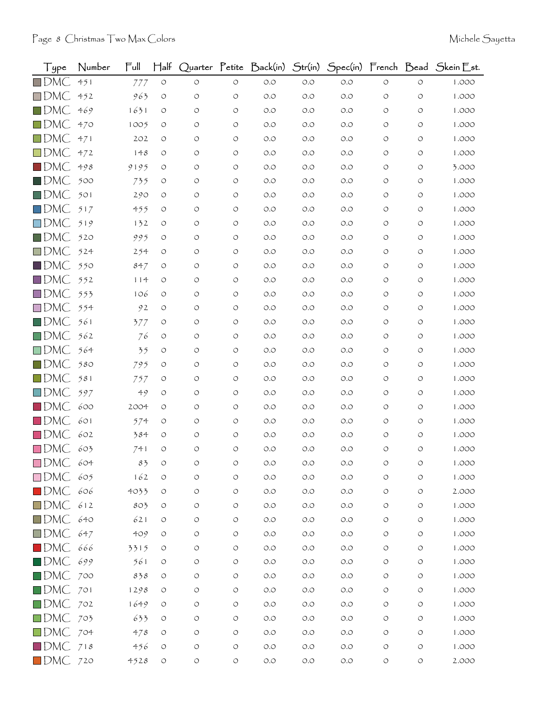| Type                   | Number | Full | $\mathsf{H\mathsf{a}\mathsf{lf}}$ |            |                    | Quarter Petíte Back(ín)              | Str(in) |       |                    |                    | Spec(in) French Bead Skein Est. |
|------------------------|--------|------|-----------------------------------|------------|--------------------|--------------------------------------|---------|-------|--------------------|--------------------|---------------------------------|
| $\square$ DMC          | 451    | 777  | $\circ$                           | $\circ$    | $\circ$            | $O.O$                                | O.O     | $O.O$ | $\circ$            | $\circ$            | 1.000                           |
| $\square$ DMC          | 452    | 963  | O                                 | $\circ$    | $\circ$            | O.O                                  | O.O     | O.O   | $\circ$            | $\circ$            | 1.000                           |
| $\square$ DMC          | 469    | 1631 | O                                 | O          | $\circ$            | O.O                                  | O.O     | O.O   | $\circ$            | O                  | 1.000                           |
| $\square$ DMC          | 470    | 1005 | $\circ$                           | O          | $\circ$            | O.O                                  | O.O     | O.O   | O                  | O                  | 1.000                           |
| $\square$ DMC          | 471    | 202  | O                                 | O          | O                  | O.O                                  | O.O     | O.O   | O                  | O                  | 1.000                           |
| $\Box$ DMC             | 472    | 148  | O                                 | O          | $\circ$            | O.O                                  | O.O     | O.O   | O                  | $\circ$            | 1.000                           |
| $\blacksquare$ DMC     | 498    | 9195 | O                                 | O          | $\circ$            | O.O                                  | O.O     | O.O   | O                  | O                  | 3.000                           |
| $\blacksquare$ DMC     | 500    | 735  | $\circ$                           | O          | $\circ$            | O.O                                  | O.O     | O.O   | O                  | O                  | 1.000                           |
| $\blacksquare$ DMC     | 501    | 290  | O                                 | O          | $\circ$            | O.O                                  | O.O     | O.O   | $\circ$            | $\circ$            | 1.000                           |
| $\Box$ DMC             | 517    | 455  | $\circ$                           | O          | $\circ$            | O.O                                  | O.O     | O.O   | O                  | O                  | 1.000                           |
| $\square$ DMC          | 519    | 132  | O                                 | O          | $\circ$            | O.O                                  | O.O     | O.O   | O                  | O                  | 1.000                           |
| $\square$ DMC          | 520    | 995  | O                                 | O          | $\circ$            | O.O                                  | O.O     | O.O   | $\circ$            | O                  | 1.000                           |
| $\square$ DMC          | 524    | 254  | O                                 | O          | O                  | O.O                                  | O.O     | O.O   | O                  | O                  | 1.000                           |
| $\blacksquare$ DMC     | 550    | 847  | O                                 | O          | $\circ$            | O.O                                  | O.O     | O.O   | O                  | O                  | 1.000                           |
| $\square$ DMC          | 552    | 114  | O                                 | O          | $\circ$            | O.O                                  | O.O     | O.O   | $\circ$            | $\circ$            | 1.000                           |
| $\square$ DMC          | 553    | 106  | O                                 | O          | $\circ$            | O.O                                  | O.O     | O.O   | O                  | O                  | 1.000                           |
| $\square$ DMC          | 554    | 92   | O                                 | O          | $\circ$            | O.O                                  | O.O     | O.O   | O                  | O                  | 1.000                           |
| $\blacksquare$ DMC     | 561    | 377  | $\circ$                           | O          | $\circ$            | O.O                                  | O.O     | O.O   | $\circ$            | $\circ$            | 1.000                           |
| $\square$ DMC          | 562    | 76   | O                                 | O          | $\circ$            | O.O                                  | O.O     | O.O   | O                  | O                  | 1.000                           |
| $\square$ DMC          | 564    | 35   | O                                 | O          | $\circ$            | O.O                                  | O.O     | O.O   | O                  | O                  | 1.000                           |
| $\square$ DMC          | 580    | 795  | O                                 | O          | $\circ$            | O.O                                  | O.O     | O.O   | $\circ$            | O                  | 1.000                           |
| $\square$ DMC          | 581    | 757  | O                                 | O          | O                  | O.O                                  | O.O     | O.O   | O                  | O                  | 1.000                           |
| $\square$ DMC          | 597    | 49   | O                                 | O          | $\circ$            | O.O                                  | O.O     | O.O   | O                  | $\circ$            | 1.000                           |
| $\blacksquare$ DMC     | 600    | 2004 | O                                 | O          | O                  | O.O                                  | O.O     | O.O   | O                  | O                  | 1.000                           |
| $\square$ DMC          | 601    | 574  | O                                 | O          | O                  | O.O                                  | O.O     | O.O   | O                  | O                  | 1.000                           |
| $\blacksquare$ DMC     | 602    | 384  | O                                 | O          | $\circ$            | O.O                                  | O.O     | O.O   | O                  | $\circ$            | 1.000                           |
| $\square$ DMC          | 603    | 741  | $\circ$                           | O          | O                  | $O.O$                                | O.O     | O.O   | $\circ$            | O                  | 1.000                           |
| $\square$ DMC          | 604    | 83   |                                   |            | O                  | O.O                                  | $O.O$   | O.O   |                    |                    | 1.000                           |
| $\Box$ DMC 605         |        | 162  | O                                 | O          | $\circ$            | $O.O$                                | O.O     | O.O   | O                  | O                  | 1.000                           |
| $\blacksquare$ DMC     | 606    | 4033 | $\circlearrowleft$                | $\bigcirc$ | $\circlearrowleft$ | $\circlearrowleft.\circlearrowright$ | $O.O$   | $O.O$ | $\circ$            | $\circ$            | 2.000                           |
| $\square$ DMC          | 612    | 803  | $\circ$                           | O          | O                  | $O.O$                                | $O.O$   | $O.O$ | $\circ$            | $\circ$            | 1.000                           |
| $\blacksquare$ DMC     | 640    | 621  | $\circ$                           | O          | $\circlearrowleft$ | $O.O$                                | O.O     | $O.O$ | O                  | O                  | 1.000                           |
| $\square$ DMC          | 647    | 409  | $\circ$                           | $\circ$    | $\circ$            | $O.O$                                | $O.O$   | $O.O$ | $\circ$            | O                  | 1.000                           |
| $\blacksquare$ DMC     | 666    | 3315 | $\circ$                           | O          | $\circ$            | $O.O$                                | $O.O$   | $O.O$ | O                  | $\circlearrowleft$ | 1.000                           |
| $\blacksquare$ DMC     | 699    | 561  | $\circ$                           | O          | $\circ$            | $O.O$                                | $O.O$   | $O.O$ | $\circ$            | O                  | 1.000                           |
| $\blacksquare$ DMC     | 700    | 838  | O                                 | O          | $\circlearrowleft$ | $O.O$                                | O.O     | O.O   | $\circ$            | O                  | 1.000                           |
| $\square$ DMC          | 701    | 1298 | O                                 | O          | $\circlearrowleft$ | $O.O$                                | $O.O$   | $O.O$ | O                  | O                  | 1.000                           |
| $\square$ DMC          | 702    | 1649 | O                                 | O          | O                  | $O.O$                                | O.O     | $O.O$ | $\circ$            | $\circ$            | 1.000                           |
| $\square$ DMC          | 703    | 633  | $\circ$                           | O          | $\circ$            | $O.O$                                | $O.O$   | $O.O$ | $\circ$            | $\circ$            | 1.000                           |
| DMC 704                |        | 478  | $\circ$                           | O          | $\circ$            | $O.O$                                | O.O     | $O.O$ | O                  | O                  | 1.000                           |
| $\blacksquare$ DMC 718 |        | 456  | $\circlearrowleft$                | O          | $\circ$            | $O.O$                                | $O.O$   | $O.O$ | $\circ$            | $\circlearrowleft$ | 1.000                           |
| $\blacksquare$ DMC 720 |        | 4528 | $\circlearrowleft$                | $\bigcirc$ | $\circlearrowleft$ | $O.O$                                | $O.O$   | $O.O$ | $\circlearrowleft$ | $\circ$            | 2.000                           |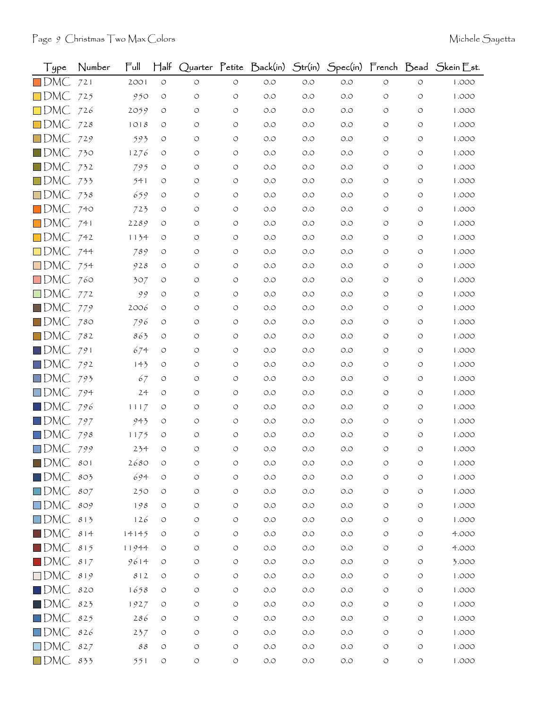| Type               | Number | Full                       | $H$ alf    |            |                    | Quarter Petite Back(in) Str(in) |       |       |            |                    | Spec(in) French Bead Skein Est. |
|--------------------|--------|----------------------------|------------|------------|--------------------|---------------------------------|-------|-------|------------|--------------------|---------------------------------|
| $\square$ DMC      | 721    | 2001                       | $\circ$    | $\circ$    | $\circ$            | $O.O$                           | $O.O$ | O.O   | $\circ$    | $\circ$            | 1.000                           |
| $\square$ DMC      | 725    | 950                        | O          | O          | $\circ$            | O.O                             | O.O   | O.O   | O          | O                  | 1.000                           |
| $\square$ DMC      | 726    | 2059                       | O          | O          | $\circ$            | O.O                             | O.O   | O.O   | O          | O                  | 1.000                           |
| $\square$ DMC      | 728    | 1018                       | O          | O          | $\circ$            | O.O                             | O.O   | O.O   | O          | O                  | 1.000                           |
| $\square$ DMC      | 729    | 593                        | O          | O          | O                  | O.O                             | O.O   | O.O   | O          | O                  | 1.000                           |
| $\square$ DMC      | 730    | 1276                       | $\circ$    | $\circ$    | $\circ$            | O.O                             | O.O   | O.O   | O          | O                  | 1.000                           |
| $\square$ DMC      | 732    | 795                        | O          | O          | $\circ$            | O.O                             | O.O   | O.O   | O          | O                  | 1.000                           |
| $\square$ DMC      | 733    | 541                        | O          | O          | $\circ$            | O.O                             | O.O   | O.O   | O          | O                  | 1.000                           |
| $\square$ DMC      | 738    | 659                        | O          | $\circ$    | $\circ$            | O.O                             | O.O   | O.O   | O          | O                  | 1.000                           |
| $\blacksquare$ DMC | 740    | 723                        | O          | O          | $\circ$            | O.O                             | O.O   | O.O   | O          | O                  | 1.000                           |
| $\square$ DMC      | 741    | 2289                       | O          | O          | O                  | O.O                             | O.O   | O.O   | O          | O                  | 1.000                           |
| $\square$ DMC      | 742    | 1134                       | O          | O          | $\circ$            | O.O                             | O.O   | O.O   | O          | O                  | 1.000                           |
| $\square$ DMC      | 744    | 789                        | O          | $\circ$    | $\circ$            | O.O                             | O.O   | O.O   | O          | O                  | 1.000                           |
| $\square$ DMC      | 754    | 928                        | O          | O          | $\circ$            | O.O                             | O.O   | O.O   | O          | O                  | 1.000                           |
| $\square$ DMC      | 760    | 307                        | O          | O          | $\circ$            | O.O                             | O.O   | O.O   | O          | O                  | 1.000                           |
| $\square$ DMC      | 772    | 99                         | O          | $\circ$    | $\circ$            | $O.O$                           | O.O   | O.O   | O          | O                  | 1.000                           |
| $\blacksquare$ DMC | 779    | 2006                       | O          | O          | $\circ$            | O.O                             | O.O   | O.O   | O          | O                  | 1.000                           |
| $\square$ DMC      | 780    | 796                        | O          | O          | $\circ$            | O.O                             | O.O   | O.O   | O          | O                  | 1.000                           |
| $\square$ DMC      | 782    | 863                        | O          | O          | $\circ$            | O.O                             | O.O   | O.O   | O          | O                  | 1.000                           |
| $\blacksquare$ DMC | 791    | 674                        | O          | O          | $\circ$            | O.O                             | O.O   | O.O   | O          | O                  | 1.000                           |
| $\square$ DMC      | 792    | 143                        | O          | O          | $\circ$            | O.O                             | O.O   | O.O   | O          | O                  | 1.000                           |
| $\square$ DMC      | 793    | 67                         | O          | O          | O                  | $O.O$                           | O.O   | O.O   | O          | O                  | 1.000                           |
| $\square$ DMC      | 794    | 24                         | O          | O          | $\circ$            | $O.O$                           | O.O   | O.O   | O          | O                  | 1.000                           |
| $\square$ DMC      | 796    | 1117                       | O          | O          | O                  | O.O                             | O.O   | O.O   | O          | O                  | 1.000                           |
| $\Box$ DMC         | 797    | 943                        | O          | $\circ$    | O                  | O.O                             | O.O   | O.O   | O          | O                  | 1.000                           |
| $\square$ DMC      | 798    | 1175                       | O          | O          | $\circ$            | O.O                             | O.O   | O.O   | O          | O                  | 1.000                           |
| $\square$ DMC      | 799    | 234                        | O          | O          | O                  | O.O                             | O.O   | O.O   | O          | O                  | 1.000                           |
| $\blacksquare$ DMC | 801    | 2680                       | O          |            | O                  | O.O                             | O.O   | O.O   |            |                    | 1.000                           |
| $\blacksquare$ DMC | 803    | 694                        | O          | O          | $\circ$            | $O.O$                           | $O.O$ | O.O   | $\circ$    | O                  | 1.000                           |
| $\square$ DMC      | 807    | 250                        | O          | $\bigcirc$ | $\circlearrowleft$ | $O.O$                           | $O.O$ | O.O   | $\circ$    | $\circ$            | 1.000                           |
| $\square$ DMC      | 809    | 198                        | O          | O          | $\circlearrowleft$ | $O.O$                           | $O.O$ | O.O   | $\circ$    | O                  | 1.000                           |
| $\square$ DMC      | 813    | 126                        | O          | O          | $\circlearrowleft$ | $O.O$                           | O.O   | O.O   | $\circ$    | O                  | 1.000                           |
| $\blacksquare$ DMC | 814    | 14145                      | O          | O          | $\circ$            | $O.O$                           | $O.O$ | O.O   | $\circ$    | O                  | 4.000                           |
| $\square$ DMC      | 815    | 11944                      | O          | O          | $\circ$            | $O.O$                           | $O.O$ | O.O   | $\circ$    | O                  | 4.000                           |
| $\blacksquare$ DMC | 817    | 9614                       | O          | O          | $\circlearrowleft$ | $O.O$                           | $O.O$ | O.O   | $\circ$    | O                  | 3.000                           |
| $\square$ DMC      | 819    | 812                        | $\bigcirc$ | O          | $\bigcirc$         | $O.O$                           | $O.O$ | O.O   | $\circ$    | O                  | 1.000                           |
| $\square$ DMC      | 820    | 1658                       | O          | O          | $\circlearrowleft$ | O.O                             | $O.O$ | O.O   | $\circ$    | O                  | 1.000                           |
| $\blacksquare$ DMC | 823    | 1927                       | O          | O          | $\circ$            | $O.O$                           | O.O   | O.O   | O          | O                  | 1.000                           |
| $\square$ DMC      | 825    | 286                        | O          | O          | $\circlearrowleft$ | $O.O$                           | $O.O$ | O.O   | $\circ$    | $\circ$            | 1.000                           |
| $\square$ DMC      | 826    | 237                        | O          | O          | $\circ$            | $O.O$                           | $O.O$ | O.O   | $\circ$    | O                  | 1.000                           |
| $\square$ DMC      | 827    | $\mathcal{S}\,\mathcal{S}$ | O          | O          | $\circlearrowleft$ | $O.O$                           | $O.O$ | O.O   | O          | $\circlearrowleft$ | 1.000                           |
| $\square$ DMC      | 833    | 551                        | $\circ$    | $\circ$    | $\circlearrowleft$ | $O.O$                           | $O.O$ | $O.O$ | $\bigcirc$ | $\circlearrowleft$ | 1.000                           |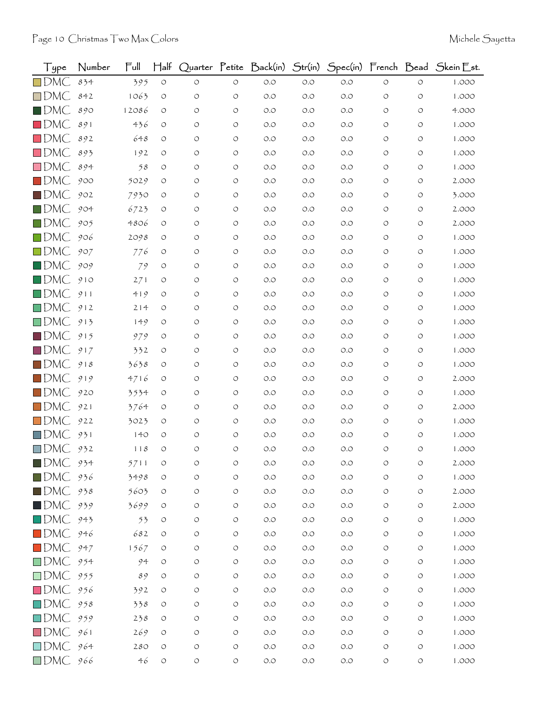| Type               | Number | Ful   | $\mathsf{H\mathsf{a}\mathsf{lf}}$ |            |                    | Quarter Petite Back(in) | Str(in) |       |                    |                    | Spec(in) French Bead Skein Est. |
|--------------------|--------|-------|-----------------------------------|------------|--------------------|-------------------------|---------|-------|--------------------|--------------------|---------------------------------|
| $\square$ DMC      | 834    | 395   | $\circ$                           | $\circ$    | $\circ$            | $O.O$                   | O.O     | $O.O$ | $\circ$            | $\circ$            | 1.000                           |
| $\Box$ DMC         | 842    | 1063  | $\circ$                           | O          | O                  | O.O                     | O.O     | $O.O$ | O                  | O                  | 1.000                           |
| $\blacksquare$ DMC | 890    | 12086 | O                                 | $\circ$    | $\circ$            | O.O                     | O.O     | O.O   | O                  | O                  | 4.000                           |
| $\blacksquare$ DMC | 891    | 436   | O                                 | O          | $\circ$            | $O.O$                   | O.O     | O.O   | O                  | O                  | 1.000                           |
| $\square$ DMC      | 892    | 648   | O                                 | O          | $\circ$            | O.O                     | O.O     | O.O   | O                  | O                  | 1.000                           |
| $\square$ DMC      | 893    | 192   | O                                 | O          | $\circ$            | O.O                     | O.O     | O.O   | $\circ$            | O                  | 1.000                           |
| $\square$ DMC      | 894    | 58    | O                                 | O          | $\circ$            | O.O                     | O.O     | O.O   | O                  | O                  | 1.000                           |
| $\blacksquare$ DMC | 900    | 5029  | O                                 | O          | $\circ$            | O.O                     | O.O     | O.O   | O                  | O                  | 2.000                           |
| $\square$ DMC      | 902    | 7930  | O                                 | O          | $\circ$            | O.O                     | O.O     | O.O   | O                  | O                  | 3.000                           |
| $\blacksquare$ DMC | 904    | 6723  | O                                 | O          | $\circ$            | O.O                     | O.O     | O.O   | O                  | O                  | 2.000                           |
| $\square$ DMC      | 905    | 4806  | O                                 | O          | $\circ$            | O.O                     | O.O     | O.O   | O                  | O                  | 2.000                           |
| $\square$ DMC      | 906    | 2098  | O                                 | O          | $\circ$            | O.O                     | O.O     | O.O   | $\circ$            | $\circ$            | 1.000                           |
| $\square$ DMC      | 907    | 776   | O                                 | O          | $\circ$            | O.O                     | O.O     | O.O   | O                  | O                  | 1.000                           |
| $\blacksquare$ DMC | 909    | 79    | O                                 | O          | O                  | $O.O$                   | O.O     | O.O   | O                  | O                  | 1.000                           |
| $\blacksquare$ DMC | 910    | 271   | O                                 | O          | $\circ$            | O.O                     | O.O     | O.O   | $\circ$            | O                  | 1.000                           |
| $\square$ DMC      | 911    | 419   | O                                 | O          | $\circ$            | O.O                     | O.O     | O.O   | O                  | O                  | 1.000                           |
| $\Box$ DMC         | 912    | 214   | O                                 | O          | $\circ$            | O.O                     | O.O     | O.O   | O                  | O                  | 1.000                           |
| $\square$ DMC      | 913    | 149   | O                                 | O          | $\circ$            | O.O                     | O.O     | O.O   | O                  | $\circ$            | 1.000                           |
| $\square$ DMC      | 915    | 979   | O                                 | O          | $\circ$            | O.O                     | O.O     | O.O   | O                  | O                  | 1.000                           |
| $\blacksquare$ DMC | 917    | 332   | O                                 | O          | $\circ$            | $O.O$                   | O.O     | O.O   | $\circ$            | O                  | 1.000                           |
| $\square$ DMC      | 918    | 3638  | O                                 | O          | $\circ$            | O.O                     | O.O     | O.O   | O                  | O                  | 1.000                           |
| $\square$ DMC      | 919    | 4716  | O                                 | O          | $\circ$            | O.O                     | O.O     | O.O   | O                  | O                  | 2.000                           |
| $\square$ DMC      | 920    | 3534  | O                                 | O          | $\circ$            | O.O                     | O.O     | O.O   | $\circ$            | O                  | 1.000                           |
| $\square$ DMC      | 921    | 3764  | O                                 | O          | O                  | O.O                     | O.O     | O.O   | O                  | O                  | 2.000                           |
| $\Box$ DMC         | 922    | 3023  | O                                 | O          | O                  | O.O                     | O.O     | O.O   | O                  | O                  | 1.000                           |
| $\Box$ DMC         | 931    | 140   | O                                 | O          | $\circ$            | $O.O$                   | O.O     | O.O   | O                  | O                  | 1.000                           |
| $\square$ DMC      | 932    | 118   | $\circ$                           | O          | $\circ$            | $O.O$                   | O.O     | O.O   | O                  | O                  | 1.000                           |
| $\blacksquare$ DMC | 934    | 5711  |                                   | O          | O                  | O.O                     | $O.O$   | O.O   | O                  | O                  | 2.000                           |
| $\blacksquare$ DMC | 936    | 3498  | O                                 | O          | $\circ$            | $O.O$                   | $O.O$   | $O.O$ | $\circ$            | $\circ$            | 1.000                           |
| $\blacksquare$ DMC | 938    | 5603  | O                                 | $\bigcirc$ | $\circlearrowleft$ | $O.O$                   | $O.O$   | $O.O$ | $\circ$            | $\circ$            | 2.000                           |
| $\blacksquare$ DMC | 939    | 3699  | $\circ$                           | O          | O                  | $O.O$                   | $O.O$   | $O.O$ | $\circ$            | $\circ$            | 2.000                           |
| $\square$ DMC      | 943    | 53    | $\circ$                           | O          | $\circlearrowleft$ | $O.O$                   | O.O     | $O.O$ | $\circ$            | $\circ$            | 1.000                           |
| $\blacksquare$ DMC | 946    | 682   | O                                 | O          | $\circ$            | $O.O$                   | $O.O$   | $O.O$ | $\circ$            | $\circ$            | 1.000                           |
| $\blacksquare$ DMC | 947    | 1567  | $\circ$                           | O          | $\circ$            | $O.O$                   | $O.O$   | $O.O$ | $\circ$            | $\circ$            | 1.000                           |
| $\square$ DMC      | 954    | 94    | O                                 | O          | $\circ$            | $O.O$                   | $O.O$   | $O.O$ | $\circ$            | $\circ$            | 1.000                           |
| $\square$ DMC      | 955    | 89    | O                                 | $\circ$    | $\circlearrowleft$ | $O.O$                   | O.O     | O.O   | $\circ$            | O                  | 1.000                           |
| $\square$ DMC      | 956    | 392   | O                                 | O          | $\circ$            | $O.O$                   | $O.O$   | $O.O$ | $\circ$            | $\circ$            | 1.000                           |
| $\square$ DMC      | 958    | 338   | $\circ$                           | O          | O                  | $O.O$                   | $O.O$   | $O.O$ | $\circ$            | $\circ$            | 1.000                           |
| $\square$ DMC      | 959    | 238   | $\circ$                           | O          | $\circ$            | $O.O$                   | $O.O$   | $O.O$ | $\circ$            | $\circ$            | 1.000                           |
| $\Box$ DMC         | 961    | 269   | O                                 | O          | $\circ$            | $O.O$                   | $O.O$   | $O.O$ | $\circ$            | $\circ$            | 1.000                           |
| $\Box$ DMC 964     |        | 280   | O                                 | O          | O                  | $O.O$                   | $O.O$   | $O.O$ | O                  | $\circlearrowleft$ | 1.000                           |
| DMC 966            |        | 46    | $\circ$                           | O          | $\circlearrowleft$ | $O.O$                   | $O.O$   | $O.O$ | $\circlearrowleft$ | $\bigcirc$         | 1.000                           |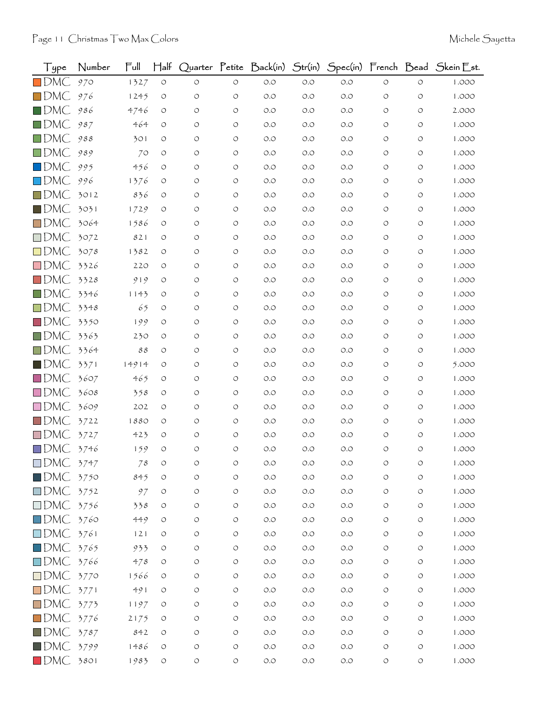| Type               | Number | Ful                        | $\mathsf{H\mathsf{a}\mathsf{lf}}$ |            |                    | Quarter Petite Back(in) | Str(in) |       |                    |                    | Spec(in) French Bead Skein Est. |
|--------------------|--------|----------------------------|-----------------------------------|------------|--------------------|-------------------------|---------|-------|--------------------|--------------------|---------------------------------|
| $\square$ DMC      | 970    | 1327                       | $\circ$                           | $\circ$    | $\circ$            | $O.O$                   | O.O     | $O.O$ | $\circ$            | $\circ$            | 1.000                           |
| $\square$ DMC      | 976    | 1245                       | $\circ$                           | O          | O                  | O.O                     | O.O     | $O.O$ | O                  | $\circ$            | 1.000                           |
| $\square$ DMC      | 986    | 4746                       | O                                 | O          | $\circ$            | O.O                     | O.O     | O.O   | $\circ$            | O                  | 2.000                           |
| $\square$ DMC      | 987    | 464                        | O                                 | O          | $\circ$            | O.O                     | O.O     | O.O   | O                  | O                  | 1.000                           |
| $\square$ DMC      | 988    | 301                        | O                                 | O          | $\circ$            | O.O                     | O.O     | O.O   | $\circ$            | O                  | 1.000                           |
| $\square$ DMC.     | 989    | 70                         | O                                 | O          | $\circ$            | $O.O$                   | O.O     | O.O   | $\circ$            | $\circ$            | 1.000                           |
| $\blacksquare$ DMC | 995    | 456                        | O                                 | O          | $\circ$            | O.O                     | O.O     | O.O   | $\circ$            | O                  | 1.000                           |
| $\square$ DMC      | 996    | 1376                       | O                                 | O          | $\circ$            | O.O                     | O.O     | O.O   | O                  | O                  | 1.000                           |
| $\square$ DMC      | 3012   | 836                        | O                                 | O          | $\circ$            | O.O                     | O.O     | O.O   | $\circ$            | $\circ$            | 1.000                           |
| $\square$ DMC      | 3031   | 1729                       | O                                 | O          | $\circ$            | O.O                     | O.O     | O.O   | O                  | O                  | 1.000                           |
| $\square$ DMC      | 3064   | 1586                       | O                                 | O          | $\circ$            | O.O                     | O.O     | O.O   | O                  | O                  | 1.000                           |
| $\Box$ DMC         | 3072   | 821                        | O                                 | O          | $\circ$            | O.O                     | O.O     | O.O   | $\circ$            | $\circ$            | 1.000                           |
| $\square$ DMC      | 3078   | 1382                       | O                                 | O          | $\circ$            | O.O                     | O.O     | O.O   | $\circ$            | O                  | 1.000                           |
| $\square$ DMC      | 3326   | 220                        | O                                 | O          | O                  | O.O                     | O.O     | O.O   | O                  | O                  | 1.000                           |
| $\square$ DMC      | 3328   | 919                        | O                                 | O          | $\circ$            | O.O                     | O.O     | O.O   | $\circ$            | $\circ$            | 1.000                           |
| $\square$ DMC      | 3346   | 1143                       | O                                 | O          | $\circ$            | O.O                     | O.O     | O.O   | O                  | O                  | 1.000                           |
| $\square$ DMC      | 3348   | 65                         | $\circ$                           | O          | $\circ$            | O.O                     | O.O     | O.O   | $\circ$            | O                  | 1.000                           |
| $\square$ DMC      | 3350   | 199                        | O                                 | O          | $\circ$            | O.O                     | O.O     | O.O   | $\circ$            | $\circ$            | 1.000                           |
| $\square$ DMC      | 3363   | 230                        | O                                 | O          | $\circ$            | O.O                     | O.O     | O.O   | O                  | O                  | 1.000                           |
| $\Box$ DMC         | 3364   | $\mathcal{S}\,\mathcal{S}$ | $\circ$                           | O          | $\circ$            | O.O                     | O.O     | O.O   | $\circ$            | $\circ$            | 1.000                           |
| $\blacksquare$ DMC | 3371   | 14914                      | O                                 | O          | $\circ$            | O.O                     | O.O     | O.O   | $\circ$            | $\circ$            | 5.000                           |
| $\square$ DMC      | 3607   | 465                        | O                                 | O          | $\circ$            | O.O                     | O.O     | O.O   | O                  | O                  | 1.000                           |
| $\square$ DMC      | 3608   | 358                        | $\circ$                           | O          | $\circ$            | O.O                     | O.O     | O.O   | $\circ$            | O                  | 1.000                           |
| $\square$ DMC      | 3609   | 202                        | O                                 | O          | $\circ$            | O.O                     | O.O     | O.O   | $\circ$            | O                  | 1.000                           |
| $\square$ DMC      | 3722   | 1880                       | O                                 | O          | O                  | O.O                     | O.O     | O.O   | O                  | O                  | 1.000                           |
| $\square$ DMC      | 3727   | 423                        | O                                 | O          | $\circ$            | O.O                     | O.O     | O.O   | O                  | O                  | 1.000                           |
| $\square$ DMC      | 3746   | 159                        | O                                 | O          | $\circ$            | $O.O$                   | O.O     | O.O   | $\circ$            | O                  | 1.000                           |
| $\square$ DMC      | 3747   | 78                         | O                                 | O          | O                  | $O.O$                   | O.O     | O.O   | O                  | O                  | 1.000                           |
| $\blacksquare$ DMC | 3750   | 845                        | $\circlearrowleft$                | O          | $\circ$            | $O.O$                   | $O.O$   | $O.O$ | $\circlearrowleft$ | $\circlearrowleft$ | 1.000                           |
| $\square$ DMC      | 3752   | 97                         | O                                 | $\bigcirc$ | $\circ$            | $O.O$                   | $O.O$   | $O.O$ | $\circ$            | $\circ$            | 1.000                           |
| $\square$ DMC      | 3756   | 338                        | O                                 | O          | O                  | $O.O$                   | $O.O$   | $O.O$ | $\circ$            | $\circ$            | 1.000                           |
| $\square$ DMC      | 3760   | 449                        | $\circ$                           | O          | $\circ$            | $O.O$                   | $O.O$   | $O.O$ | $\circ$            | $\circ$            | 1.000                           |
| $\square$ DMC      | 3761   | 121                        | O                                 | O          | $\circ$            | $O.O$                   | $O.O$   | $O.O$ | $\circ$            | $\circ$            | 1.000                           |
| $\square$ DMC      | 3765   | 933                        | $\circlearrowleft$                | O          | $\circ$            | $O.O$                   | $O.O$   | $O.O$ | $\circ$            | $\circ$            | 1.000                           |
| $\square$ DMC      | 3766   | 478                        | O                                 | O          | $\circ$            | $O.O$                   | $O.O$   | $O.O$ | $\circ$            | $\circ$            | 1.000                           |
| $\square$ DMC      | 3770   | 1566                       | $\circ$                           | O          | $\circlearrowleft$ | $O.O$                   | $O.O$   | O.O   | $\circ$            | O                  | 1.000                           |
| $\square$ DMC      | 3771   | 491                        | O                                 | O          | $\circ$            | $O.O$                   | $O.O$   | $O.O$ | $\circ$            | O                  | 1.000                           |
| $\square$ DMC      | 3773   | 1197                       | O                                 | O          | O                  | $O.O$                   | $O.O$   | $O.O$ | $\circ$            | $\circ$            | 1.000                           |
| $\square$ DMC      | 3776   | 2175                       | $\circ$                           | O          | $\circ$            | $O.O$                   | $O.O$   | $O.O$ | $\circ$            | $\circ$            | 1.000                           |
| $\blacksquare$ DMC | 3787   | 842                        | O                                 | O          | $\circ$            | $O.O$                   | $O.O$   | $O.O$ | $\circ$            | $\circ$            | 1.000                           |
| $\blacksquare$ DMC | 3799   | 1486                       | $\circ$                           | O          | O                  | $O.O$                   | $O.O$   | $O.O$ | $\circ$            | $\bigcirc$         | 1.000                           |
| $\blacksquare$ DMC | 3801   | 1983                       | $\circ$                           | $\bigcirc$ | $\circlearrowleft$ | $O.O$                   | $O.O$   | $O.O$ | $\circlearrowleft$ | $\bigcirc$         | 1.000                           |